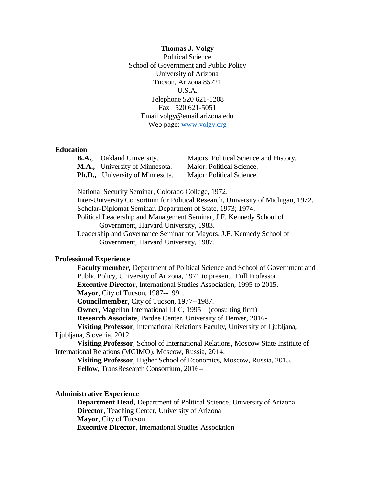**Thomas J. Volgy** Political Science School of Government and Public Policy University of Arizona Tucson, Arizona 85721 U.S.A. Telephone 520 621-1208 Fax 520 621-5051 Email volgy@email.arizona.edu Web page: [www.volgy.org](http://www.volgy.org/)

# **Education**

| <b>B.A.,</b> Oakland University.       | Majors: Political Science and History. |
|----------------------------------------|----------------------------------------|
| <b>M.A.,</b> University of Minnesota.  | Major: Political Science.              |
| <b>Ph.D.,</b> University of Minnesota. | Major: Political Science.              |

National Security Seminar, Colorado College, 1972.

Inter-University Consortium for Political Research, University of Michigan, 1972. Scholar-Diplomat Seminar, Department of State, 1973; 1974. Political Leadership and Management Seminar, J.F. Kennedy School of Government, Harvard University, 1983.

Leadership and Governance Seminar for Mayors, J.F. Kennedy School of Government, Harvard University, 1987.

# **Professional Experience**

**Faculty member,** Department of Political Science and School of Government and Public Policy, University of Arizona, 1971 to present. Full Professor. **Executive Director**, International Studies Association, 1995 to 2015. **Mayor**, City of Tucson, 1987--1991. **Councilmember**, City of Tucson, 1977--1987. **Owner**, Magellan International LLC, 1995—(consulting firm) **Research Associate**, Pardee Center, University of Denver, 2016- **Visiting Professor**, International Relations Faculty, University of Ljubljana,

Ljubljana, Slovenia, 2012

**Visiting Professor**, School of International Relations, Moscow State Institute of International Relations (MGIMO), Moscow, Russia, 2014.

**Visiting Professor**, Higher School of Economics, Moscow, Russia, 2015. **Fellow**, TransResearch Consortium, 2016--

# **Administrative Experience**

**Department Head,** Department of Political Science, University of Arizona **Director**, Teaching Center, University of Arizona **Mayor**, City of Tucson **Executive Director**, International Studies Association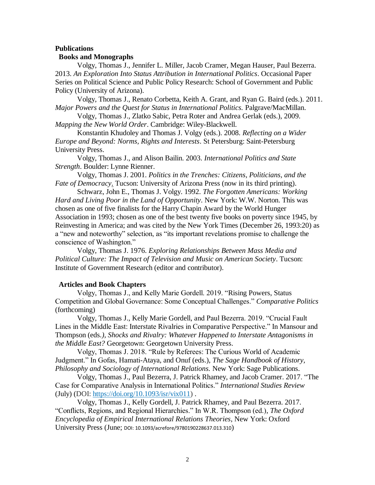#### **Publications**

## **Books and Monographs**

Volgy, Thomas J., Jennifer L. Miller, Jacob Cramer, Megan Hauser, Paul Bezerra. 2013. *An Exploration Into Status Attribution in International Politics*. Occasional Paper Series on Political Science and Public Policy Research: School of Government and Public Policy (University of Arizona).

Volgy, Thomas J., Renato Corbetta, Keith A. Grant, and Ryan G. Baird (eds.). 2011. *Major Powers and the Quest for Status in International Politics.* Palgrave/MacMillan.

Volgy, Thomas J., Zlatko Sabic, Petra Roter and Andrea Gerlak (eds.), 2009. *Mapping the New World Order*. Cambridge: Wiley-Blackwell.

Konstantin Khudoley and Thomas J. Volgy (eds.). 2008. *Reflecting on a Wider Europe and Beyond: Norms, Rights and Interests*. St Petersburg: Saint-Petersburg University Press.

Volgy, Thomas J., and Alison Bailin. 2003. *International Politics and State Strength*. Boulder: Lynne Rienner.

Volgy, Thomas J. 2001. *Politics in the Trenches: Citizens, Politicians, and the Fate of Democracy*. Tucson: University of Arizona Press (now in its third printing).

Schwarz, John E., Thomas J. Volgy. 1992. *The Forgotten Americans: Working Hard and Living Poor in the Land of Opportunity*. New York: W.W. Norton. This was chosen as one of five finalists for the Harry Chapin Award by the World Hunger Association in 1993; chosen as one of the best twenty five books on poverty since 1945, by Reinvesting in America; and was cited by the New York Times (December 26, 1993:20) as a "new and noteworthy" selection, as "its important revelations promise to challenge the conscience of Washington."

Volgy, Thomas J. 1976. *Exploring Relationships Between Mass Media and Political Culture: The Impact of Television and Music on American Society*. Tucson: Institute of Government Research (editor and contributor).

#### **Articles and Book Chapters**

Volgy, Thomas J., and Kelly Marie Gordell. 2019. "Rising Powers, Status Competition and Global Governance: Some Conceptual Challenges." *Comparative Politics* (forthcoming)

Volgy, Thomas J., Kelly Marie Gordell, and Paul Bezerra. 2019. "Crucial Fault Lines in the Middle East: Interstate Rivalries in Comparative Perspective." In Mansour and Thompson (eds*.), Shocks and Rivalry: Whatever Happened to Interstate Antagonisms in the Middle East?* Georgetown: Georgetown University Press.

Volgy, Thomas J. 2018. "Rule by Referees: The Curious World of Academic Judgment." In Gofas, Hamati-Ataya, and Onuf (eds.), *The Sage Handbook of History, Philosophy and Sociology of International Relations.* New York: Sage Publications.

Volgy, Thomas J., Paul Bezerra, J. Patrick Rhamey, and Jacob Cramer. 2017. "The Case for Comparative Analysis in International Politics." *International Studies Review* (July) (DOI: [https://doi.org/10.1093/isr/vix011\)](https://doi.org/10.1093/isr/vix011) .

Volgy, Thomas J., Kelly Gordell, J. Patrick Rhamey, and Paul Bezerra. 2017. "Conflicts, Regions, and Regional Hierarchies." In W.R. Thompson (ed.), *The Oxford Encyclopedia of Empirical International Relations Theories*, New York: Oxford University Press (June; DOI: 10.1093/acrefore/9780190228637.013.310)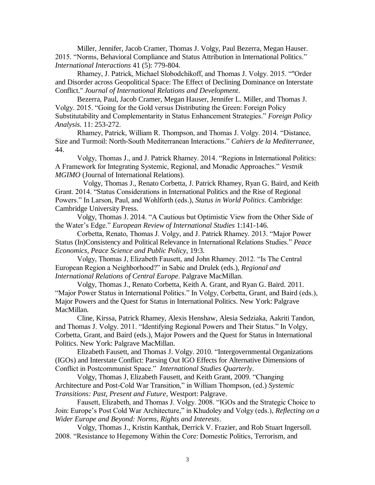Miller, Jennifer, Jacob Cramer, Thomas J. Volgy, Paul Bezerra, Megan Hauser. 2015. "Norms, Behavioral Compliance and Status Attribution in International Politics." *International Interactions* 41 (5): 779-804.

Rhamey, J. Patrick, Michael Slobodchikoff, and Thomas J. Volgy. 2015. ""Order and Disorder across Geopolitical Space: The Effect of Declining Dominance on Interstate Conflict." *Journal of International Relations and Development*.

Bezerra, Paul, Jacob Cramer, Megan Hauser, Jennifer L. Miller, and Thomas J. Volgy. 2015. "Going for the Gold versus Distributing the Green: Foreign Policy Substitutability and Complementarity in Status Enhancement Strategies." *Foreign Policy Analysis.* 11: 253-272.

Rhamey, Patrick, William R. Thompson, and Thomas J. Volgy. 2014. "Distance, Size and Turmoil: North-South Mediterranean Interactions." *Cahiers de la Mediterranee*, 44.

Volgy, Thomas J., and J. Patrick Rhamey. 2014. "Regions in International Politics: A Framework for Integrating Systemic, Regional, and Monadic Approaches." *Vestnik MGIMO* (Journal of International Relations).

Volgy, Thomas J., Renato Corbetta, J. Patrick Rhamey, Ryan G. Baird, and Keith Grant. 2014. "Status Considerations in International Politics and the Rise of Regional Powers." In Larson, Paul, and Wohlforth (eds.), *Status in World Politics*. Cambridge: Cambridge University Press.

Volgy, Thomas J. 2014. "A Cautious but Optimistic View from the Other Side of the Water's Edge." *European Review of International Studies* 1:141-146.

Corbetta, Renato, Thomas J. Volgy, and J. Patrick Rhamey. 2013. "Major Power Status (In)Consistency and Political Relevance in International Relations Studies." *Peace Economics, Peace Science and Public Policy*, 19:3*.* 

Volgy, Thomas J, Elizabeth Fausett, and John Rhamey. 2012. "Is The Central European Region a Neighborhood?" in Sabic and Drulek (eds.), *Regional and International Relations of Central Europe*. Palgrave MacMillan.

Volgy, Thomas J., Renato Corbetta, Keith A. Grant, and Ryan G. Baird. 2011. "Major Power Status in International Politics." In Volgy, Corbetta, Grant, and Baird (eds.), Major Powers and the Quest for Status in International Politics. New York: Palgrave MacMillan.

Cline, Kirssa, Patrick Rhamey, Alexis Henshaw, Alesia Sedziaka, Aakriti Tandon, and Thomas J. Volgy. 2011. "Identifying Regional Powers and Their Status." In Volgy, Corbetta, Grant, and Baird (eds.), Major Powers and the Quest for Status in International Politics. New York: Palgrave MacMillan.

Elizabeth Fausett, and Thomas J. Volgy. 2010. "Intergovernmental Organizations (IGOs) and Interstate Conflict: Parsing Out IGO Effects for Alternative Dimensions of Conflict in Postcommunist Space." *International Studies Quarterly*.

Volgy, Thomas J, Elizabeth Fausett, and Keith Grant, 2009. "Changing Architecture and Post-Cold War Transition," in William Thompson, (ed.) *Systemic Transitions: Past, Present and Future*, Westport: Palgrave.

Fausett, Elizabeth, and Thomas J. Volgy. 2008. "IGOs and the Strategic Choice to Join: Europe's Post Cold War Architecture," in Khudoley and Volgy (eds.), *Reflecting on a Wider Europe and Beyond: Norms, Rights and Interests*.

Volgy, Thomas J., Kristin Kanthak, Derrick V. Frazier, and Rob Stuart Ingersoll. 2008. "Resistance to Hegemony Within the Core: Domestic Politics, Terrorism, and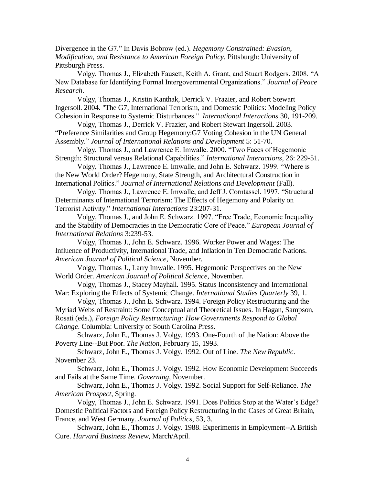Divergence in the G7." In Davis Bobrow (ed.). *Hegemony Constrained: Evasion, Modification, and Resistance to American Foreign Policy.* Pittsburgh: University of Pittsburgh Press.

Volgy, Thomas J., Elizabeth Fausett, Keith A. Grant, and Stuart Rodgers. 2008. "A New Database for Identifying Formal Intergovernmental Organizations." *Journal of Peace Research*.

Volgy, Thomas J., Kristin Kanthak, Derrick V. Frazier, and Robert Stewart Ingersoll. 2004. "The G7, International Terrorism, and Domestic Politics: Modeling Policy Cohesion in Response to Systemic Disturbances." *International Interactions* 30, 191-209.

Volgy, Thomas J., Derrick V. Frazier, and Robert Stewart Ingersoll. 2003. "Preference Similarities and Group Hegemony:G7 Voting Cohesion in the UN General Assembly." *Journal of International Relations and Development* 5: 51-70.

Volgy, Thomas J., and Lawrence E. Imwalle. 2000. "Two Faces of Hegemonic Strength: Structural versus Relational Capabilities." *International Interactions*, 26: 229-51.

Volgy, Thomas J., Lawrence E. Imwalle, and John E. Schwarz. 1999. "Where is the New World Order? Hegemony, State Strength, and Architectural Construction in International Politics." *Journal of International Relations and Development* (Fall).

Volgy, Thomas J., Lawrence E. Imwalle, and Jeff J. Corntassel. 1997. "Structural Determinants of International Terrorism: The Effects of Hegemony and Polarity on Terrorist Activity." *International Interactions* 23:207-31.

Volgy, Thomas J., and John E. Schwarz. 1997. "Free Trade, Economic Inequality and the Stability of Democracies in the Democratic Core of Peace." *European Journal of International Relations* 3:239-53.

Volgy, Thomas J., John E. Schwarz. 1996. Worker Power and Wages: The Influence of Productivity, International Trade, and Inflation in Ten Democratic Nations. *American Journal of Political Science*, November.

Volgy, Thomas J., Larry Imwalle. 1995. Hegemonic Perspectives on the New World Order. *American Journal of Political Science*, November.

Volgy, Thomas J., Stacey Mayhall. 1995. Status Inconsistency and International War: Exploring the Effects of Systemic Change. *International Studies Quarterly* 39, 1.

Volgy, Thomas J., John E. Schwarz. 1994. Foreign Policy Restructuring and the Myriad Webs of Restraint: Some Conceptual and Theoretical Issues. In Hagan, Sampson, Rosati (eds.), *Foreign Policy Restructuring: How Governments Respond to Global Change*. Columbia: University of South Carolina Press.

Schwarz, John E., Thomas J. Volgy. 1993. One-Fourth of the Nation: Above the Poverty Line--But Poor. *The Nation*, February 15, 1993.

Schwarz, John E., Thomas J. Volgy. 1992. Out of Line. *The New Republic*. November 23.

Schwarz, John E., Thomas J. Volgy. 1992. How Economic Development Succeeds and Fails at the Same Time. *Governing*, November.

Schwarz, John E., Thomas J. Volgy. 1992. Social Support for Self-Reliance. *The American Prospect*, Spring.

Volgy, Thomas J., John E. Schwarz. 1991. Does Politics Stop at the Water's Edge? Domestic Political Factors and Foreign Policy Restructuring in the Cases of Great Britain, France, and West Germany. *Journal of Politics*, 53, 3.

Schwarz, John E., Thomas J. Volgy. 1988. Experiments in Employment--A British Cure. *Harvard Business Review*, March/April.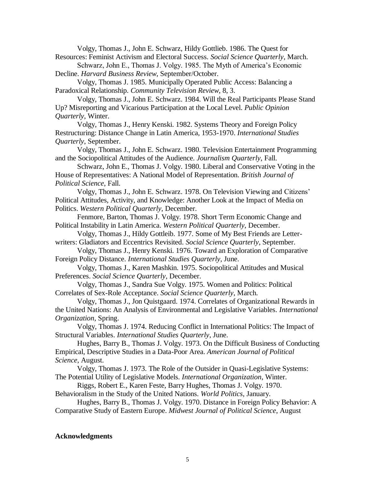Volgy, Thomas J., John E. Schwarz, Hildy Gottlieb. 1986. The Quest for Resources: Feminist Activism and Electoral Success. *Social Science Quarterly*, March.

Schwarz, John E., Thomas J. Volgy. 1985. The Myth of America's Economic Decline. *Harvard Business Review*, September/October.

Volgy, Thomas J. 1985. Municipally Operated Public Access: Balancing a Paradoxical Relationship. *Community Television Review*, 8, 3.

Volgy, Thomas J., John E. Schwarz. 1984. Will the Real Participants Please Stand Up? Misreporting and Vicarious Participation at the Local Level. *Public Opinion Quarterly*, Winter.

Volgy, Thomas J., Henry Kenski. 1982. Systems Theory and Foreign Policy Restructuring: Distance Change in Latin America, 1953-1970. *International Studies Quarterly*, September.

Volgy, Thomas J., John E. Schwarz. 1980. Television Entertainment Programming and the Sociopolitical Attitudes of the Audience. *Journalism Quarterly*, Fall.

Schwarz, John E., Thomas J. Volgy. 1980. Liberal and Conservative Voting in the House of Representatives: A National Model of Representation. *British Journal of Political Science*, Fall.

Volgy, Thomas J., John E. Schwarz. 1978. On Television Viewing and Citizens' Political Attitudes, Activity, and Knowledge: Another Look at the Impact of Media on Politics. *Western Political Quarterly*, December.

Fenmore, Barton, Thomas J. Volgy. 1978. Short Term Economic Change and Political Instability in Latin America. *Western Political Quarterly*, December.

Volgy, Thomas J., Hildy Gottleib. 1977. Some of My Best Friends are Letterwriters: Gladiators and Eccentrics Revisited. *Social Science Quarterly*, September.

Volgy, Thomas J., Henry Kenski. 1976. Toward an Exploration of Comparative Foreign Policy Distance. *International Studies Quarterly*, June.

Volgy, Thomas J., Karen Mashkin. 1975. Sociopolitical Attitudes and Musical Preferences. *Social Science Quarterly*, December.

Volgy, Thomas J., Sandra Sue Volgy. 1975. Women and Politics: Political Correlates of Sex-Role Acceptance. *Social Science Quarterly*, March.

Volgy, Thomas J., Jon Quistgaard. 1974. Correlates of Organizational Rewards in the United Nations: An Analysis of Environmental and Legislative Variables. *International Organization*, Spring.

Volgy, Thomas J. 1974. Reducing Conflict in International Politics: The Impact of Structural Variables. *International Studies Quarterly*, June.

Hughes, Barry B., Thomas J. Volgy. 1973. On the Difficult Business of Conducting Empirical, Descriptive Studies in a Data-Poor Area. *American Journal of Political Science*, August.

Volgy, Thomas J. 1973. The Role of the Outsider in Quasi-Legislative Systems: The Potential Utility of Legislative Models. *International Organization*, Winter.

Riggs, Robert E., Karen Feste, Barry Hughes, Thomas J. Volgy. 1970. Behavioralism in the Study of the United Nations. *World Politics*, January.

Hughes, Barry B., Thomas J. Volgy. 1970. Distance in Foreign Policy Behavior: A Comparative Study of Eastern Europe. *Midwest Journal of Political Science*, August

## **Acknowledgments**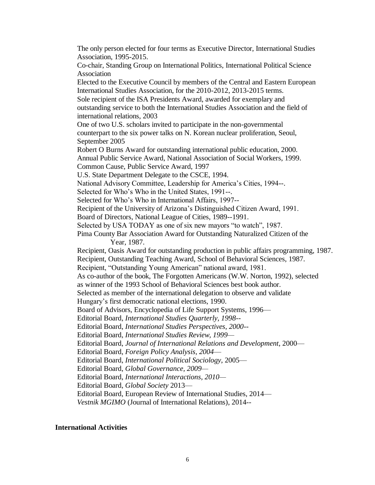The only person elected for four terms as Executive Director, International Studies Association, 1995-2015. Co-chair, Standing Group on International Politics, International Political Science Association Elected to the Executive Council by members of the Central and Eastern European International Studies Association, for the 2010-2012, 2013-2015 terms. Sole recipient of the ISA Presidents Award, awarded for exemplary and outstanding service to both the International Studies Association and the field of international relations, 2003 One of two U.S. scholars invited to participate in the non-governmental counterpart to the six power talks on N. Korean nuclear proliferation, Seoul, September 2005 Robert O Burns Award for outstanding international public education, 2000. Annual Public Service Award, National Association of Social Workers, 1999. Common Cause, Public Service Award, 1997 U.S. State Department Delegate to the CSCE, 1994. National Advisory Committee, Leadership for America's Cities, 1994--. Selected for Who's Who in the United States, 1991--. Selected for Who's Who in International Affairs, 1997-- Recipient of the University of Arizona's Distinguished Citizen Award, 1991. Board of Directors, National League of Cities, 1989--1991. Selected by USA TODAY as one of six new mayors "to watch", 1987. Pima County Bar Association Award for Outstanding Naturalized Citizen of the Year, 1987. Recipient, Oasis Award for outstanding production in public affairs programming, 1987. Recipient, Outstanding Teaching Award, School of Behavioral Sciences, 1987. Recipient, "Outstanding Young American" national award, 1981. As co-author of the book, The Forgotten Americans (W.W. Norton, 1992), selected as winner of the 1993 School of Behavioral Sciences best book author. Selected as member of the international delegation to observe and validate Hungary's first democratic national elections, 1990. Board of Advisors, Encyclopedia of Life Support Systems, 1996— Editorial Board, *International Studies Quarterly, 1998--* Editorial Board, *International Studies Perspectives, 2000--* Editorial Board, *International Studies Review, 1999—* Editorial Board, *Journal of International Relations and Development*, 2000— Editorial Board, *Foreign Policy Analysis, 2004*— Editorial Board, *International Political Sociology*, 2005— Editorial Board, *Global Governance, 2009—* Editorial Board, *International Interactions, 2010—* Editorial Board, *Global Society* 2013— Editorial Board, European Review of International Studies, 2014— *Vestnik MGIMO* (Journal of International Relations), 2014--

## **International Activities**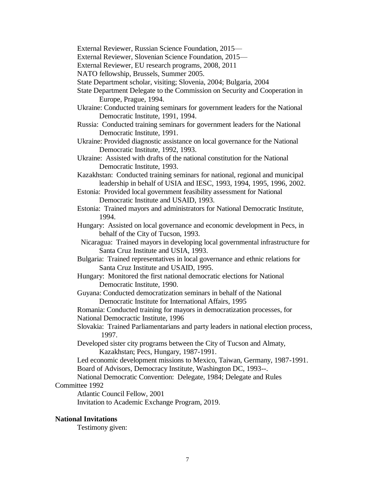External Reviewer, Russian Science Foundation, 2015—

External Reviewer, Slovenian Science Foundation, 2015—

External Reviewer, EU research programs, 2008, 2011

NATO fellowship, Brussels, Summer 2005.

- State Department scholar, visiting; Slovenia, 2004; Bulgaria, 2004
- State Department Delegate to the Commission on Security and Cooperation in Europe, Prague, 1994.
- Ukraine: Conducted training seminars for government leaders for the National Democratic Institute, 1991, 1994.
- Russia: Conducted training seminars for government leaders for the National Democratic Institute, 1991.

Ukraine: Provided diagnostic assistance on local governance for the National Democratic Institute, 1992, 1993.

Ukraine: Assisted with drafts of the national constitution for the National Democratic Institute, 1993.

Kazakhstan: Conducted training seminars for national, regional and municipal leadership in behalf of USIA and IESC, 1993, 1994, 1995, 1996, 2002.

- Estonia: Provided local government feasibility assessment for National Democratic Institute and USAID, 1993.
- Estonia: Trained mayors and administrators for National Democratic Institute, 1994.
- Hungary: Assisted on local governance and economic development in Pecs, in behalf of the City of Tucson, 1993.

 Nicaragua: Trained mayors in developing local governmental infrastructure for Santa Cruz Institute and USIA, 1993.

- Bulgaria: Trained representatives in local governance and ethnic relations for Santa Cruz Institute and USAID, 1995.
- Hungary: Monitored the first national democratic elections for National Democratic Institute, 1990.

Guyana: Conducted democratization seminars in behalf of the National Democratic Institute for International Affairs, 1995

Romania: Conducted training for mayors in democratization processes, for National Democractic Institute, 1996

Slovakia: Trained Parliamentarians and party leaders in national election process, 1997.

Developed sister city programs between the City of Tucson and Almaty, Kazakhstan; Pecs, Hungary, 1987-1991.

Led economic development missions to Mexico, Taiwan, Germany, 1987-1991.

Board of Advisors, Democracy Institute, Washington DC, 1993--.

National Democratic Convention: Delegate, 1984; Delegate and Rules

Committee 1992

Atlantic Council Fellow, 2001

Invitation to Academic Exchange Program, 2019.

#### **National Invitations**

Testimony given: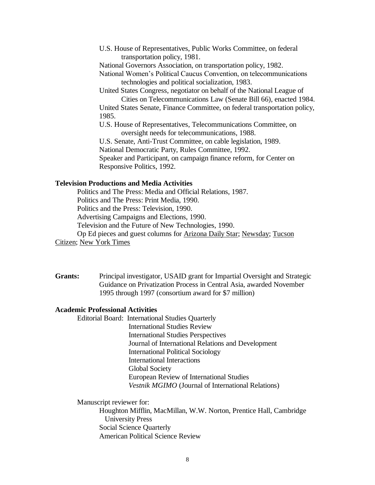U.S. House of Representatives, Public Works Committee, on federal transportation policy, 1981.

National Governors Association, on transportation policy, 1982.

National Women's Political Caucus Convention, on telecommunications technologies and political socialization, 1983.

United States Congress, negotiator on behalf of the National League of Cities on Telecommunications Law (Senate Bill 66), enacted 1984.

United States Senate, Finance Committee, on federal transportation policy, 1985.

U.S. House of Representatives, Telecommunications Committee, on oversight needs for telecommunications, 1988.

U.S. Senate, Anti-Trust Committee, on cable legislation, 1989.

National Democratic Party, Rules Committee, 1992.

Speaker and Participant, on campaign finance reform, for Center on Responsive Politics, 1992.

# **Television Productions and Media Activities**

Politics and The Press: Media and Official Relations, 1987. Politics and The Press: Print Media, 1990. Politics and the Press: Television, 1990. Advertising Campaigns and Elections, 1990. Television and the Future of New Technologies, 1990. Op Ed pieces and guest columns for Arizona Daily Star; Newsday; Tucson

Citizen; New York Times

**Grants:** Principal investigator, USAID grant for Impartial Oversight and Strategic Guidance on Privatization Process in Central Asia, awarded November 1995 through 1997 (consortium award for \$7 million)

# **Academic Professional Activities**

Editorial Board: International Studies Quarterly International Studies Review International Studies Perspectives Journal of International Relations and Development International Political Sociology International Interactions Global Society European Review of International Studies *Vestnik MGIMO* (Journal of International Relations)

Manuscript reviewer for:

Houghton Mifflin, MacMillan, W.W. Norton, Prentice Hall, Cambridge University Press Social Science Quarterly American Political Science Review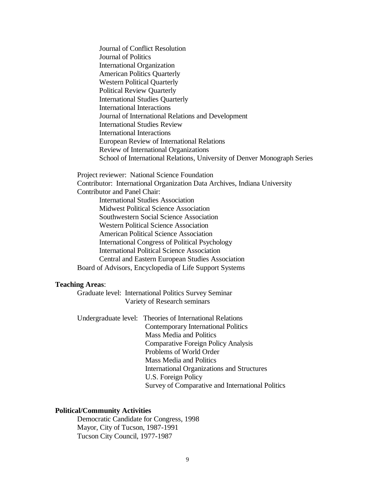Journal of Conflict Resolution Journal of Politics International Organization American Politics Quarterly Western Political Quarterly Political Review Quarterly International Studies Quarterly International Interactions Journal of International Relations and Development International Studies Review International Interactions European Review of International Relations Review of International Organizations School of International Relations, University of Denver Monograph Series

Project reviewer: National Science Foundation Contributor: International Organization Data Archives, Indiana University Contributor and Panel Chair: International Studies Association Midwest Political Science Association Southwestern Social Science Association Western Political Science Association American Political Science Association International Congress of Political Psychology International Political Science Association Central and Eastern European Studies Association Board of Advisors, Encyclopedia of Life Support Systems

#### **Teaching Areas**:

Graduate level: International Politics Survey Seminar Variety of Research seminars

Undergraduate level: Theories of International Relations Contemporary International Politics Mass Media and Politics Comparative Foreign Policy Analysis Problems of World Order Mass Media and Politics International Organizations and Structures U.S. Foreign Policy Survey of Comparative and International Politics

## **Political/Community Activities**

Democratic Candidate for Congress, 1998 Mayor, City of Tucson, 1987-1991 Tucson City Council, 1977-1987